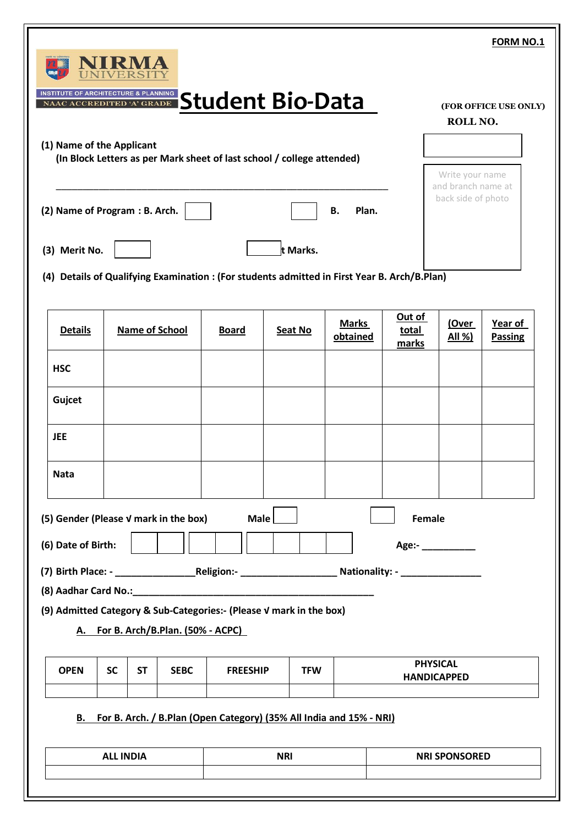|                                                             |           |           |                                     |                 |                                                                                              |                          |                          |                                       | FORM NO.1                 |
|-------------------------------------------------------------|-----------|-----------|-------------------------------------|-----------------|----------------------------------------------------------------------------------------------|--------------------------|--------------------------|---------------------------------------|---------------------------|
| <b>INSTITUTE OF ARCHITECTURE &amp; PLANNING</b>             |           |           |                                     |                 | INSTITUTE OF ARCHITECTURE & PLANNING Standing Studio and Bio-Data                            |                          |                          | ROLL NO.                              | (FOR OFFICE USE ONLY)     |
| (1) Name of the Applicant                                   |           |           |                                     |                 | (In Block Letters as per Mark sheet of last school / college attended)                       |                          |                          | Write your name<br>and branch name at |                           |
| (2) Name of Program : B. Arch.                              |           |           |                                     |                 |                                                                                              | Plan.<br>В.              |                          | back side of photo                    |                           |
| (3) Merit No.                                               |           |           |                                     |                 | t Marks.                                                                                     |                          |                          |                                       |                           |
|                                                             |           |           |                                     |                 | (4) Details of Qualifying Examination : (For students admitted in First Year B. Arch/B.Plan) |                          |                          |                                       |                           |
| <b>Details</b>                                              |           |           | <b>Name of School</b>               | <b>Board</b>    | Seat No                                                                                      | <b>Marks</b><br>obtained | Out of<br>total<br>marks | (Over<br>All %)                       | Year of<br><b>Passing</b> |
| <b>HSC</b>                                                  |           |           |                                     |                 |                                                                                              |                          |                          |                                       |                           |
| Gujcet                                                      |           |           |                                     |                 |                                                                                              |                          |                          |                                       |                           |
| <b>JEE</b>                                                  |           |           |                                     |                 |                                                                                              |                          |                          |                                       |                           |
|                                                             |           |           |                                     |                 |                                                                                              |                          |                          |                                       |                           |
| <b>Nata</b>                                                 |           |           |                                     |                 |                                                                                              |                          |                          |                                       |                           |
|                                                             |           |           |                                     | Male            |                                                                                              |                          | Female                   |                                       |                           |
|                                                             |           |           |                                     |                 |                                                                                              |                          | Age:- _______            |                                       |                           |
|                                                             |           |           |                                     |                 | (9) Admitted Category & Sub-Categories:- (Please V mark in the box)                          |                          |                          |                                       |                           |
| (5) Gender (Please V mark in the box)<br>(6) Date of Birth: |           |           | A. For B. Arch/B.Plan. (50% - ACPC) |                 |                                                                                              |                          | <b>PHYSICAL</b>          |                                       |                           |
| <b>OPEN</b>                                                 | <b>SC</b> | <b>ST</b> | <b>SEBC</b>                         | <b>FREESHIP</b> | <b>TFW</b>                                                                                   |                          | <b>HANDICAPPED</b>       |                                       |                           |
|                                                             |           |           |                                     |                 | B. For B. Arch. / B.Plan (Open Category) (35% All India and 15% - NRI)                       |                          |                          |                                       |                           |